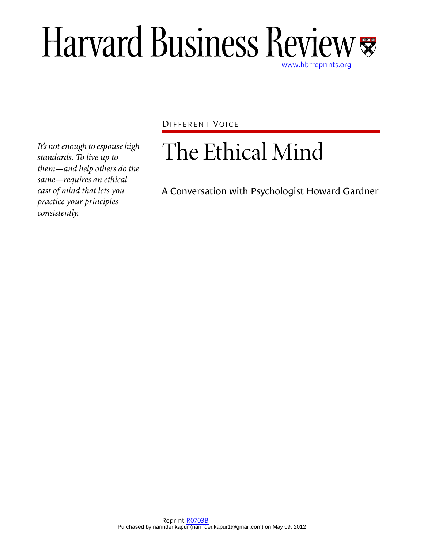## Harvard Business Review [www.hbrreprints.org](http://www.hbrreprints.org)

DIFFERENT VOICE

# The Ethical Mind

A Conversation with Psychologist Howard Gardner

*It's not enough to espouse high standards. To live up to them—and help others do the same—requires an ethical cast of mind that lets you practice your principles consistently.*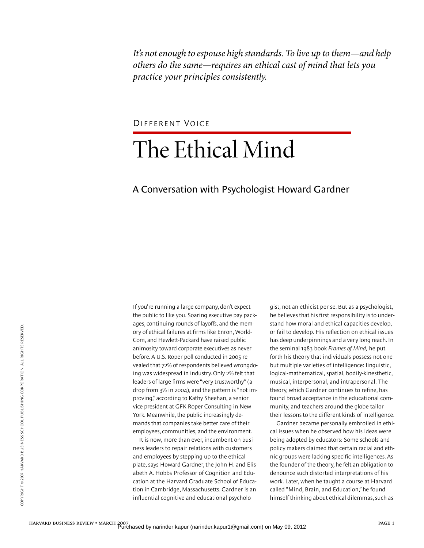*It's not enough to espouse high standards. To live up to them—and help others do the same—requires an ethical cast of mind that lets you practice your principles consistently.*

DIFFERENT VOICE

## The Ethical Mind

### A Conversation with Psychologist Howard Gardner

If you're running a large company, don't expect the public to like you. Soaring executive pay packages, continuing rounds of layoffs, and the memory of ethical failures at firms like Enron, World-Com, and Hewlett-Packard have raised public animosity toward corporate executives as never before. A U.S. Roper poll conducted in 2005 revealed that 72% of respondents believed wrongdoing was widespread in industry. Only 2% felt that leaders of large firms were "very trustworthy" (a drop from 3% in 2004), and the pattern is "not improving," according to Kathy Sheehan, a senior vice president at GFK Roper Consulting in New York. Meanwhile, the public increasingly demands that companies take better care of their employees, communities, and the environment.

It is now, more than ever, incumbent on business leaders to repair relations with customers and employees by stepping up to the ethical plate, says Howard Gardner, the John H. and Elisabeth A. Hobbs Professor of Cognition and Education at the Harvard Graduate School of Education in Cambridge, Massachusetts. Gardner is an influential cognitive and educational psychologist, not an ethicist per se. But as a psychologist, he believes that his first responsibility is to understand how moral and ethical capacities develop, or fail to develop. His reflection on ethical issues has deep underpinnings and a very long reach. In the seminal 1983 book *Frames of Mind,* he put forth his theory that individuals possess not one but multiple varieties of intelligence: linguistic, logical-mathematical, spatial, bodily-kinesthetic, musical, interpersonal, and intrapersonal. The theory, which Gardner continues to refine, has found broad acceptance in the educational community, and teachers around the globe tailor their lessons to the different kinds of intelligence.

Gardner became personally embroiled in ethical issues when he observed how his ideas were being adopted by educators: Some schools and policy makers claimed that certain racial and ethnic groups were lacking specific intelligences. As the founder of the theory, he felt an obligation to denounce such distorted interpretations of his work. Later, when he taught a course at Harvard called "Mind, Brain, and Education," he found himself thinking about ethical dilemmas, such as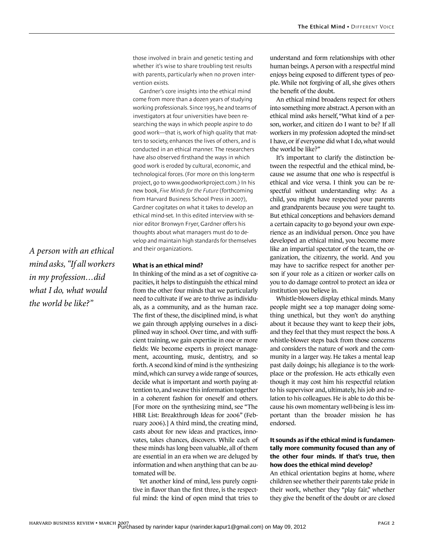those involved in brain and genetic testing and whether it's wise to share troubling test results with parents, particularly when no proven intervention exists.

Gardner's core insights into the ethical mind come from more than a dozen years of studying working professionals. Since 1995, he and teams of investigators at four universities have been researching the ways in which people aspire to do good work—that is, work of high quality that matters to society, enhances the lives of others, and is conducted in an ethical manner. The researchers have also observed firsthand the ways in which good work is eroded by cultural, economic, and technological forces. (For more on this long-term project, go to www.goodworkproject.com.) In his new book, *Five Minds for the Future* (forthcoming from Harvard Business School Press in 2007), Gardner cogitates on what it takes to develop an ethical mind-set. In this edited interview with senior editor Bronwyn Fryer, Gardner offers his thoughts about what managers must do to develop and maintain high standards for themselves and their organizations.

#### **What is an ethical mind?**

In thinking of the mind as a set of cognitive capacities, it helps to distinguish the ethical mind from the other four minds that we particularly need to cultivate if we are to thrive as individuals, as a community, and as the human race. The first of these, the disciplined mind, is what we gain through applying ourselves in a disciplined way in school. Over time, and with sufficient training, we gain expertise in one or more fields: We become experts in project management, accounting, music, dentistry, and so forth. A second kind of mind is the synthesizing mind, which can survey a wide range of sources, decide what is important and worth paying attention to, and weave this information together in a coherent fashion for oneself and others. [For more on the synthesizing mind, see "The HBR List: Breakthrough Ideas for 2006" (February 2006).] A third mind, the creating mind, casts about for new ideas and practices, innovates, takes chances, discovers. While each of these minds has long been valuable, all of them are essential in an era when we are deluged by information and when anything that can be automated will be.

Yet another kind of mind, less purely cognitive in flavor than the first three, is the respectful mind: the kind of open mind that tries to

understand and form relationships with other human beings. A person with a respectful mind enjoys being exposed to different types of people. While not forgiving of all, she gives others the benefit of the doubt.

An ethical mind broadens respect for others into something more abstract. A person with an ethical mind asks herself, "What kind of a person, worker, and citizen do I want to be? If all workers in my profession adopted the mind-set I have, or if everyone did what I do, what would the world be like?"

It's important to clarify the distinction between the respectful and the ethical mind, because we assume that one who is respectful is ethical and vice versa. I think you can be respectful without understanding why: As a child, you might have respected your parents and grandparents because you were taught to. But ethical conceptions and behaviors demand a certain capacity to go beyond your own experience as an individual person. Once you have developed an ethical mind, you become more like an impartial spectator of the team, the organization, the citizenry, the world. And you may have to sacrifice respect for another person if your role as a citizen or worker calls on you to do damage control to protect an idea or institution you believe in.

Whistle-blowers display ethical minds. Many people might see a top manager doing something unethical, but they won't do anything about it because they want to keep their jobs, and they feel that they must respect the boss. A whistle-blower steps back from those concerns and considers the nature of work and the community in a larger way. He takes a mental leap past daily doings; his allegiance is to the workplace or the profession. He acts ethically even though it may cost him his respectful relation to his supervisor and, ultimately, his job and relation to his colleagues. He is able to do this because his own momentary well-being is less important than the broader mission he has endorsed.

#### **It sounds as if the ethical mind is fundamentally more community focused than any of the other four minds. If that's true, then how does the ethical mind develop?**

An ethical orientation begins at home, where children see whether their parents take pride in their work, whether they "play fair," whether they give the benefit of the doubt or are closed

*A person with an ethical mind asks, "If all workers in my profession…did what I do, what would the world be like?"*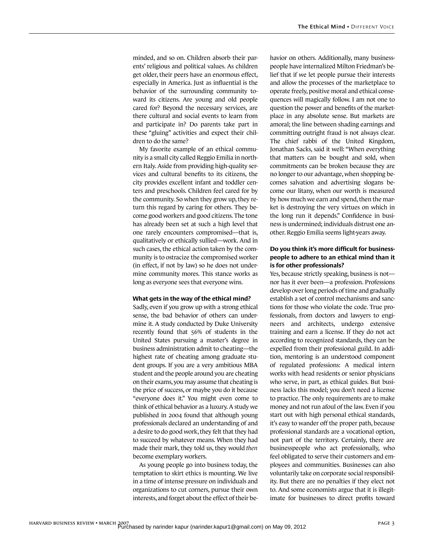minded, and so on. Children absorb their parents' religious and political values. As children get older, their peers have an enormous effect, especially in America. Just as influential is the behavior of the surrounding community toward its citizens. Are young and old people cared for? Beyond the necessary services, are there cultural and social events to learn from and participate in? Do parents take part in these "gluing" activities and expect their children to do the same?

My favorite example of an ethical community is a small city called Reggio Emilia in northern Italy. Aside from providing high-quality services and cultural benefits to its citizens, the city provides excellent infant and toddler centers and preschools. Children feel cared for by the community. So when they grow up, they return this regard by caring for others. They become good workers and good citizens. The tone has already been set at such a high level that one rarely encounters compromised—that is, qualitatively or ethically sullied—work. And in such cases, the ethical action taken by the community is to ostracize the compromised worker (in effect, if not by law) so he does not undermine community mores. This stance works as long as everyone sees that everyone wins.

#### **What gets in the way of the ethical mind?**

Sadly, even if you grow up with a strong ethical sense, the bad behavior of others can undermine it. A study conducted by Duke University recently found that 56% of students in the United States pursuing a master's degree in business administration admit to cheating—the highest rate of cheating among graduate student groups. If you are a very ambitious MBA student and the people around you are cheating on their exams, you may assume that cheating is the price of success, or maybe you do it because "everyone does it." You might even come to think of ethical behavior as a luxury. A study we published in 2004 found that although young professionals declared an understanding of and a desire to do good work, they felt that they had to succeed by whatever means. When they had made their mark, they told us, they would *then* become exemplary workers.

As young people go into business today, the temptation to skirt ethics is mounting. We live in a time of intense pressure on individuals and organizations to cut corners, pursue their own interests, and forget about the effect of their behavior on others. Additionally, many businesspeople have internalized Milton Friedman's belief that if we let people pursue their interests and allow the processes of the marketplace to operate freely, positive moral and ethical consequences will magically follow. I am not one to question the power and benefits of the marketplace in any absolute sense. But markets are amoral; the line between shading earnings and committing outright fraud is not always clear. The chief rabbi of the United Kingdom, Jonathan Sacks, said it well: "When everything that matters can be bought and sold, when commitments can be broken because they are no longer to our advantage, when shopping becomes salvation and advertising slogans become our litany, when our worth is measured by how much we earn and spend, then the market is destroying the very virtues on which in the long run it depends." Confidence in business is undermined; individuals distrust one another. Reggio Emilia seems light-years away.

#### **Do you think it's more difficult for businesspeople to adhere to an ethical mind than it is for other professionals?**

Yes, because strictly speaking, business is not nor has it ever been—a profession. Professions develop over long periods of time and gradually establish a set of control mechanisms and sanctions for those who violate the code. True professionals, from doctors and lawyers to engineers and architects, undergo extensive training and earn a license. If they do not act according to recognized standards, they can be expelled from their professional guild. In addition, mentoring is an understood component of regulated professions: A medical intern works with head residents or senior physicians who serve, in part, as ethical guides. But business lacks this model; you don't need a license to practice. The only requirements are to make money and not run afoul of the law. Even if you start out with high personal ethical standards, it's easy to wander off the proper path, because professional standards are a vocational option, not part of the territory. Certainly, there are businesspeople who act professionally, who feel obligated to serve their customers and employees and communities. Businesses can also voluntarily take on corporate social responsibility. But there are no penalties if they elect not to. And some economists argue that it is illegitimate for businesses to direct profits toward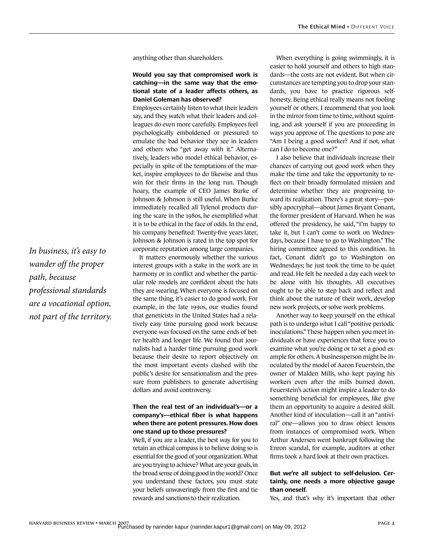anything other than shareholders.

#### **Would you say that compromised work is catching—in the same way that the emotional state of a leader affects others, as Daniel Goleman has observed?**

Employees certainly listen to what their leaders say, and they watch what their leaders and colleagues do even more carefully. Employees feel psychologically emboldened or pressured to emulate the bad behavior they see in leaders and others who "get away with it." Alternatively, leaders who model ethical behavior, especially in spite of the temptations of the market, inspire employees to do likewise and thus win for their firms in the long run. Though hoary, the example of CEO James Burke of Johnson & Johnson is still useful. When Burke immediately recalled all Tylenol products during the scare in the 1980s, he exemplified what it is to be ethical in the face of odds. In the end, his company benefited: Twenty-five years later, Johnson & Johnson is rated in the top spot for corporate reputation among large companies.

It matters enormously whether the various interest groups with a stake in the work are in harmony or in conflict and whether the particular role models are confident about the hats they are wearing. When everyone is focused on the same thing, it's easier to do good work. For example, in the late 1990s, our studies found that geneticists in the United States had a relatively easy time pursuing good work because everyone was focused on the same ends of better health and longer life. We found that journalists had a harder time pursuing good work because their desire to report objectively on the most important events clashed with the public's desire for sensationalism and the pressure from publishers to generate advertising dollars and avoid controversy.

#### **Then the real test of an individual's—or a company's—ethical fiber is what happens when there are potent pressures. How does one stand up to those pressures?**

Well, if you are a leader, the best way for you to retain an ethical compass is to believe doing so is essential for the good of your organization. What are you trying to achieve? What are your goals, in the broad sense of doing good in the world? Once you understand these factors, you must state your beliefs unwaveringly from the first and tie rewards and sanctions to their realization.

When everything is going swimmingly, it is easier to hold yourself and others to high standards—the costs are not evident. But when circumstances are tempting you to drop your standards, you have to practice rigorous selfhonesty. Being ethical really means not fooling yourself or others. I recommend that you look in the mirror from time to time, without squinting, and ask yourself if you are proceeding in ways you approve of. The questions to pose are "Am I being a good worker? And if not, what can I do to become one?"

I also believe that individuals increase their chances of carrying out good work when they make the time and take the opportunity to reflect on their broadly formulated mission and determine whether they are progressing toward its realization. There's a great story—possibly apocryphal—about James Bryant Conant, the former president of Harvard. When he was offered the presidency, he said, "I'm happy to take it, but I can't come to work on Wednesdays, because I have to go to Washington." The hiring committee agreed to this condition. In fact, Conant didn't go to Washington on Wednesdays; he just took the time to be quiet and read. He felt he needed a day each week to be alone with his thoughts. All executives ought to be able to step back and reflect and think about the nature of their work, develop new work projects, or solve work problems.

Another way to keep yourself on the ethical path is to undergo what I call "positive periodic inoculations." These happen when you meet individuals or have experiences that force you to examine what you're doing or to set a good example for others. A businessperson might be inoculated by the model of Aaron Feuerstein, the owner of Malden Mills, who kept paying his workers even after the mills burned down. Feuerstein's action might inspire a leader to do something beneficial for employees, like give them an opportunity to acquire a desired skill. Another kind of inoculation—call it an "antiviral" one—allows you to draw object lessons from instances of compromised work. When Arthur Andersen went bankrupt following the Enron scandal, for example, auditors at other firms took a hard look at their own practices.

#### **But we're all subject to self-delusion. Certainly, one needs a more objective gauge than oneself.**

Yes, and that's why it's important that other

*In business, it's easy to wander off the proper path, because professional standards are a vocational option, not part of the territory.*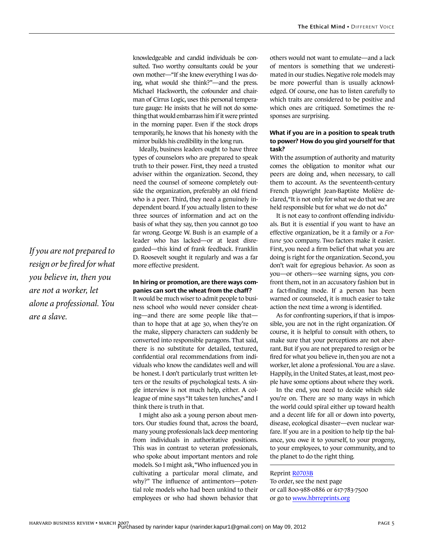knowledgeable and candid individuals be consulted. Two worthy consultants could be your own mother—"If she knew everything I was doing, what would she think?"—and the press. Michael Hackworth, the cofounder and chairman of Cirrus Logic, uses this personal temperature gauge: He insists that he will not do something that would embarrass him if it were printed in the morning paper. Even if the stock drops temporarily, he knows that his honesty with the mirror builds his credibility in the long run.

Ideally, business leaders ought to have three types of counselors who are prepared to speak truth to their power. First, they need a trusted adviser within the organization. Second, they need the counsel of someone completely outside the organization, preferably an old friend who is a peer. Third, they need a genuinely independent board. If you actually listen to these three sources of information and act on the basis of what they say, then you cannot go too far wrong. George W. Bush is an example of a leader who has lacked—or at least disregarded—this kind of frank feedback. Franklin D. Roosevelt sought it regularly and was a far more effective president.

#### **In hiring or promotion, are there ways companies can sort the wheat from the chaff?**

It would be much wiser to admit people to business school who would never consider cheating—and there are some people like that than to hope that at age 30, when they're on the make, slippery characters can suddenly be converted into responsible paragons. That said, there is no substitute for detailed, textured, confidential oral recommendations from individuals who know the candidates well and will be honest. I don't particularly trust written letters or the results of psychological tests. A single interview is not much help, either. A colleague of mine says "It takes ten lunches," and I think there is truth in that.

I might also ask a young person about mentors. Our studies found that, across the board, many young professionals lack deep mentoring from individuals in authoritative positions. This was in contrast to veteran professionals, who spoke about important mentors and role models. So I might ask, "Who influenced you in cultivating a particular moral climate, and why?" The influence of antimentors—potential role models who had been unkind to their employees or who had shown behavior that

others would not want to emulate—and a lack of mentors is something that we underestimated in our studies. Negative role models may be more powerful than is usually acknowledged. Of course, one has to listen carefully to which traits are considered to be positive and which ones are critiqued. Sometimes the responses are surprising.

#### **What if you are in a position to speak truth to power? How do you gird yourself for that task?**

With the assumption of authority and maturity comes the obligation to monitor what our peers are doing and, when necessary, to call them to account. As the seventeenth-century French playwright Jean-Baptiste Molière declared, "It is not only for what we do that we are held responsible but for what we do not do."

It is not easy to confront offending individuals. But it is essential if you want to have an effective organization, be it a family or a *Fortune* 500 company. Two factors make it easier. First, you need a firm belief that what you are doing is right for the organization. Second, you don't wait for egregious behavior. As soon as you—or others—see warning signs, you confront them, not in an accusatory fashion but in a fact-finding mode. If a person has been warned or counseled, it is much easier to take action the next time a wrong is identified.

As for confronting superiors, if that is impossible, you are not in the right organization. Of course, it is helpful to consult with others, to make sure that your perceptions are not aberrant. But if you are not prepared to resign or be fired for what you believe in, then you are not a worker, let alone a professional. You are a slave. Happily, in the United States, at least, most people have some options about where they work.

In the end, you need to decide which side you're on. There are so many ways in which the world could spiral either up toward health and a decent life for all or down into poverty, disease, ecological disaster—even nuclear warfare. If you are in a position to help tip the balance, you owe it to yourself, to your progeny, to your employees, to your community, and to the planet to do the right thing.

#### Reprint [R0703B](http://harvardbusinessonline.hbsp.harvard.edu/relay.jhtml?name=itemdetail&referral=4320&id=R0703B)

To order, see the next page or call 800-988-0886 or 617-783-7500 or go to [www.hbrreprints.org](http://www.hbrreprints.org)

*If you are not prepared to resign or be fired for what you believe in, then you are not a worker, let alone a professional. You are a slave.*